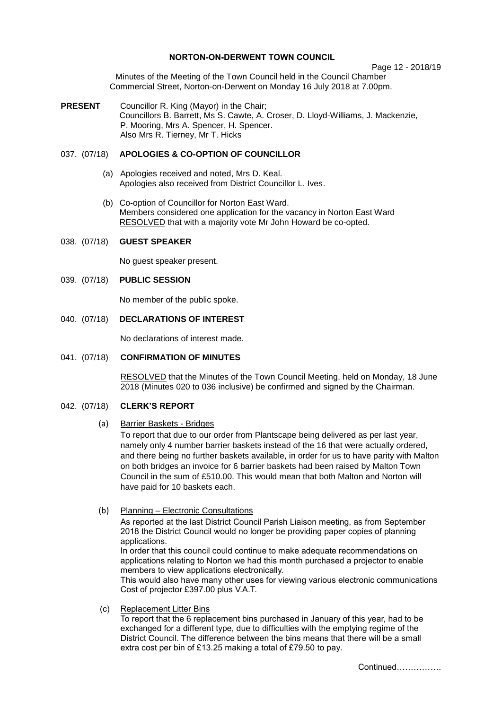## **NORTON-ON-DERWENT TOWN COUNCIL**

Page 12 - 2018/19

Minutes of the Meeting of the Town Council held in the Council Chamber Commercial Street, Norton-on-Derwent on Monday 16 July 2018 at 7.00pm.

**PRESENT** Councillor R. King (Mayor) in the Chair; Councillors B. Barrett, Ms S. Cawte, A. Croser, D. Lloyd-Williams, J. Mackenzie, P. Mooring, Mrs A. Spencer, H. Spencer. Also Mrs R. Tierney, Mr T. Hicks

## 037. (07/18) **APOLOGIES & CO-OPTION OF COUNCILLOR**

- (a) Apologies received and noted, Mrs D. Keal. Apologies also received from District Councillor L. Ives.
- (b) Co-option of Councillor for Norton East Ward. Members considered one application for the vacancy in Norton East Ward RESOLVED that with a majority vote Mr John Howard be co-opted.

#### 038. (07/18) **GUEST SPEAKER**

No guest speaker present.

#### 039. (07/18) **PUBLIC SESSION**

No member of the public spoke.

## 040. (07/18) **DECLARATIONS OF INTEREST**

No declarations of interest made.

### 041. (07/18) **CONFIRMATION OF MINUTES**

 RESOLVED that the Minutes of the Town Council Meeting, held on Monday, 18 June 2018 (Minutes 020 to 036 inclusive) be confirmed and signed by the Chairman.

## 042. (07/18) **CLERK'S REPORT**

#### (a) Barrier Baskets - Bridges

To report that due to our order from Plantscape being delivered as per last year, namely only 4 number barrier baskets instead of the 16 that were actually ordered, and there being no further baskets available, in order for us to have parity with Malton on both bridges an invoice for 6 barrier baskets had been raised by Malton Town Council in the sum of £510.00. This would mean that both Malton and Norton will have paid for 10 baskets each.

#### (b) Planning – Electronic Consultations

As reported at the last District Council Parish Liaison meeting, as from September 2018 the District Council would no longer be providing paper copies of planning applications. In order that this council could continue to make adequate recommendations on

applications relating to Norton we had this month purchased a projector to enable members to view applications electronically.

This would also have many other uses for viewing various electronic communications Cost of projector £397.00 plus V.A.T.

(c) Replacement Litter Bins

To report that the 6 replacement bins purchased in January of this year, had to be exchanged for a different type, due to difficulties with the emptying regime of the District Council. The difference between the bins means that there will be a small extra cost per bin of £13.25 making a total of £79.50 to pay.

Continued…………….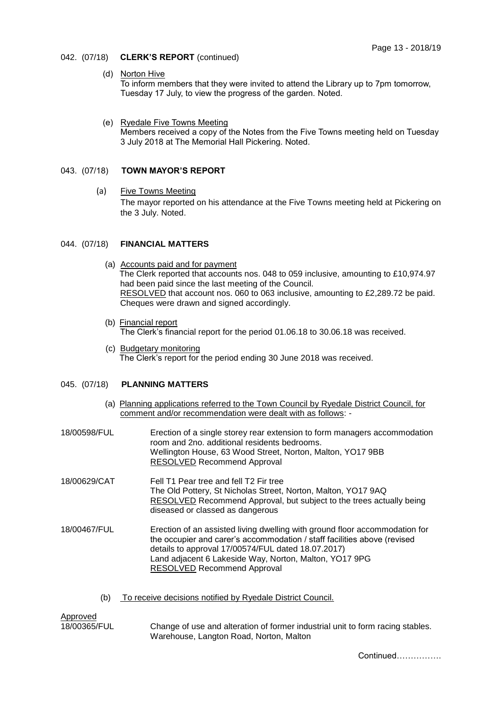- 042. (07/18) **CLERK'S REPORT** (continued)
	- (d) Norton Hive

To inform members that they were invited to attend the Library up to 7pm tomorrow, Tuesday 17 July, to view the progress of the garden. Noted.

 (e) Ryedale Five Towns Meeting Members received a copy of the Notes from the Five Towns meeting held on Tuesday 3 July 2018 at The Memorial Hall Pickering. Noted.

## 043. (07/18) **TOWN MAYOR'S REPORT**

 (a) Five Towns Meeting The mayor reported on his attendance at the Five Towns meeting held at Pickering on the 3 July. Noted.

### 044. (07/18) **FINANCIAL MATTERS**

- (a) Accounts paid and for payment The Clerk reported that accounts nos. 048 to 059 inclusive, amounting to £10,974.97 had been paid since the last meeting of the Council. RESOLVED that account nos. 060 to 063 inclusive, amounting to £2,289.72 be paid. Cheques were drawn and signed accordingly.
- (b) Financial report The Clerk's financial report for the period 01.06.18 to 30.06.18 was received.
- (c) Budgetary monitoring The Clerk's report for the period ending 30 June 2018 was received.

## 045. (07/18) **PLANNING MATTERS**

- (a) Planning applications referred to the Town Council by Ryedale District Council, for comment and/or recommendation were dealt with as follows: -
- 18/00598/FUL Erection of a single storey rear extension to form managers accommodation room and 2no. additional residents bedrooms. Wellington House, 63 Wood Street, Norton, Malton, YO17 9BB RESOLVED Recommend Approval 18/00629/CAT Fell T1 Pear tree and fell T2 Fir tree The Old Pottery, St Nicholas Street, Norton, Malton, YO17 9AQ RESOLVED Recommend Approval, but subject to the trees actually being diseased or classed as dangerous 18/00467/FUL Erection of an assisted living dwelling with ground floor accommodation for the occupier and carer's accommodation / staff facilities above (revised details to approval 17/00574/FUL dated 18.07.2017) Land adjacent 6 Lakeside Way, Norton, Malton, YO17 9PG RESOLVED Recommend Approval
	- (b) To receive decisions notified by Ryedale District Council.

Approved

18/00365/FUL Change of use and alteration of former industrial unit to form racing stables. Warehouse, Langton Road, Norton, Malton

Continued…………….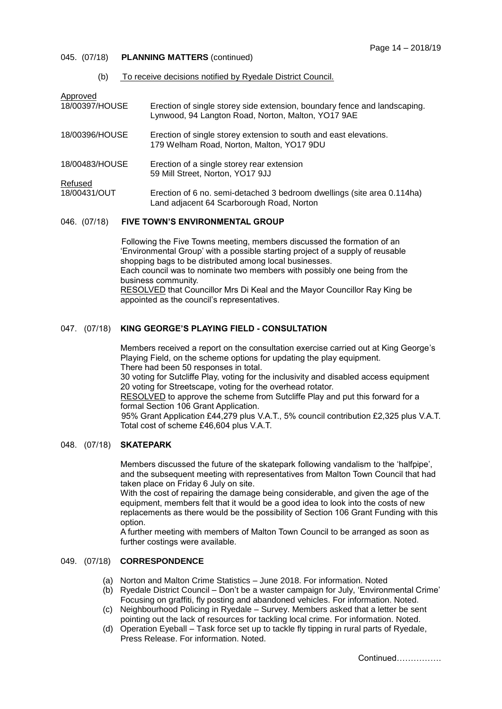## 045. (07/18) **PLANNING MATTERS** (continued)

(b) To receive decisions notified by Ryedale District Council.

| Approved       |                                                                                                                                 |
|----------------|---------------------------------------------------------------------------------------------------------------------------------|
| 18/00397/HOUSE | Erection of single storey side extension, boundary fence and landscaping.<br>Lynwood, 94 Langton Road, Norton, Malton, YO17 9AE |
| 18/00396/HOUSE | Erection of single storey extension to south and east elevations.<br>179 Welham Road, Norton, Malton, YO17 9DU                  |
| 18/00483/HOUSE | Erection of a single storey rear extension<br>59 Mill Street, Norton, YO17 9JJ                                                  |
| Refused        |                                                                                                                                 |
| 18/00431/OUT   | Erection of 6 no. semi-detached 3 bedroom dwellings (site area 0.114 ha)<br>Land adjacent 64 Scarborough Road, Norton           |
|                |                                                                                                                                 |

## 046. (07/18) **FIVE TOWN'S ENVIRONMENTAL GROUP**

Following the Five Towns meeting, members discussed the formation of an 'Environmental Group' with a possible starting project of a supply of reusable shopping bags to be distributed among local businesses. Each council was to nominate two members with possibly one being from the business community. RESOLVED that Councillor Mrs Di Keal and the Mayor Councillor Ray King be appointed as the council's representatives.

## 047. (07/18) **KING GEORGE'S PLAYING FIELD - CONSULTATION**

Members received a report on the consultation exercise carried out at King George's Playing Field, on the scheme options for updating the play equipment. There had been 50 responses in total. 30 voting for Sutcliffe Play, voting for the inclusivity and disabled access equipment 20 voting for Streetscape, voting for the overhead rotator. RESOLVED to approve the scheme from Sutcliffe Play and put this forward for a formal Section 106 Grant Application. 95% Grant Application £44,279 plus V.A.T., 5% council contribution £2,325 plus V.A.T. Total cost of scheme £46,604 plus V.A.T.

#### 048. (07/18) **SKATEPARK**

Members discussed the future of the skatepark following vandalism to the 'halfpipe', and the subsequent meeting with representatives from Malton Town Council that had taken place on Friday 6 July on site.

With the cost of repairing the damage being considerable, and given the age of the equipment, members felt that it would be a good idea to look into the costs of new replacements as there would be the possibility of Section 106 Grant Funding with this option.

A further meeting with members of Malton Town Council to be arranged as soon as further costings were available.

# 049. (07/18) **CORRESPONDENCE**

- (a) Norton and Malton Crime Statistics June 2018. For information. Noted
- (b) Ryedale District Council Don't be a waster campaign for July, 'Environmental Crime' Focusing on graffiti, fly posting and abandoned vehicles. For information. Noted.
- (c) Neighbourhood Policing in Ryedale Survey. Members asked that a letter be sent pointing out the lack of resources for tackling local crime. For information. Noted.
- (d) Operation Eyeball Task force set up to tackle fly tipping in rural parts of Ryedale, Press Release. For information. Noted.

Continued…………….